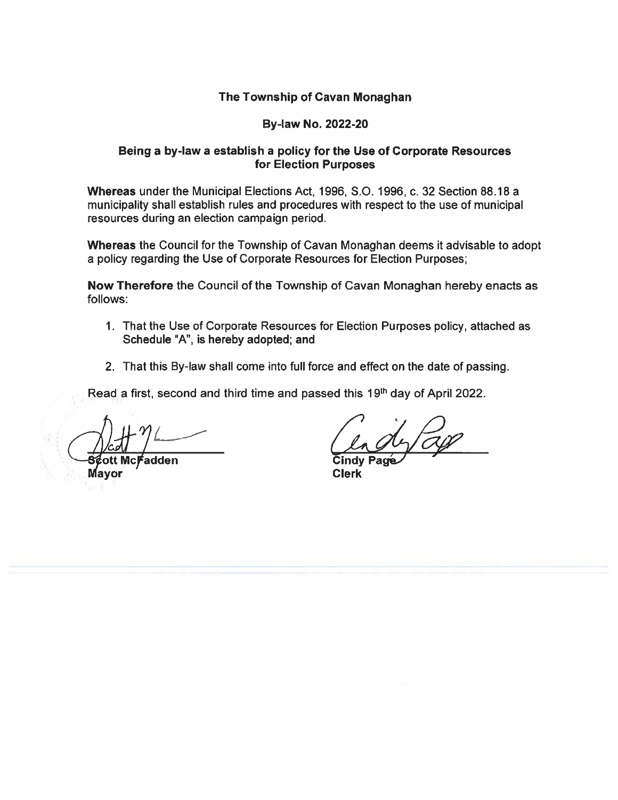# The Township of Cavan Monaghan

### By-law No. 2022-20

## Being <sup>a</sup> by-law <sup>a</sup> establish <sup>a</sup> policy for the Use of Corporate Resources for Election Purposes

Whereas under the Municipal Elections Act, 1996, 5.0. 1996, c. 32 Section 88.18 <sup>a</sup> municipality shall establish rules and procedures with respec<sup>t</sup> to the use of municipal resources during an election campaign period.

Whereas the Council for the Township of Cavan Monaghan deems it advisable to adopt <sup>a</sup> policy regarding the Use of Corporate Resources for Election Purposes;

Now Therefore the Council of the Township of Cavan Monaghan hereby enacts as follows:

- 1. That the Use of Corporate Resources for Election Purposes policy, attached as Schedule "A", is hereby adopted; and
- 2. That this By-law shall come into full force and effect on the date of passing.

Read a first, second and third time and passed this 19<sup>th</sup> day of April 2022.

'—Sott Mc adden Cindy Pag Mayor Clerk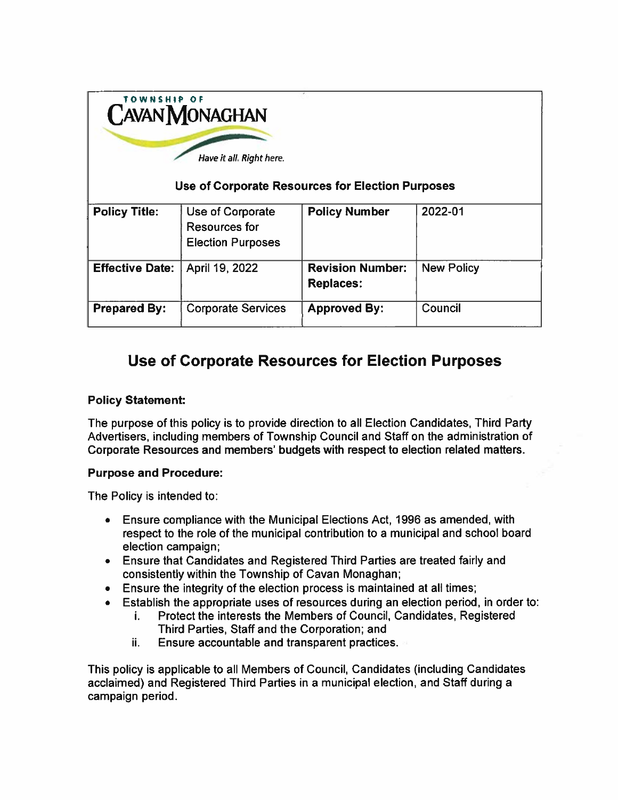| TOWNSHIP OF<br><b>CAVAN MONAGHAN</b><br>Have it all. Right here.<br>Use of Corporate Resources for Election Purposes |                                                               |                                             |                   |
|----------------------------------------------------------------------------------------------------------------------|---------------------------------------------------------------|---------------------------------------------|-------------------|
| <b>Policy Title:</b>                                                                                                 | Use of Corporate<br>Resources for<br><b>Election Purposes</b> | <b>Policy Number</b>                        | 2022-01           |
| <b>Effective Date:</b>                                                                                               | April 19, 2022                                                | <b>Revision Number:</b><br><b>Replaces:</b> | <b>New Policy</b> |
| <b>Prepared By:</b>                                                                                                  | <b>Corporate Services</b>                                     | <b>Approved By:</b>                         | Council           |

# Use of Corporate Resources for Election Purposes

# Policy Statement:

The purpose of this policy is to provide direction to all Election Candidates, Third Party Advertisers, including members of Township Council and Staff on the administration of Corporate Resources and members' budgets with respect to election related matters.

## Purpose and Procedure:

The Policy is intended to:

- • Ensure compliance with the Municipal Elections Act, 1996 as amended, with respec<sup>t</sup> to the role of the municipal contribution to <sup>a</sup> municipal and school board election campaign;
- Ensure that Candidates and Registered Third Parties are treated fairly and consistently within the Township of Cavan Monaghan;
- Ensure the integrity of the election process is maintained at all times;
- • $\bullet$   $\;\;$  Establish the appropriate uses of resources during an election period, in order to:
	- i. Protect the interests the Members of Council, Candidates, Registered Third Parties, Staff and the Corporation; and
	- H.Ensure accountable and transparent practices.

This policy is applicable to all Members of Council, Candidates (including Candidates acclaimed) and Registered Third Parties in <sup>a</sup> municipal election, and Staff during <sup>a</sup> campaign period.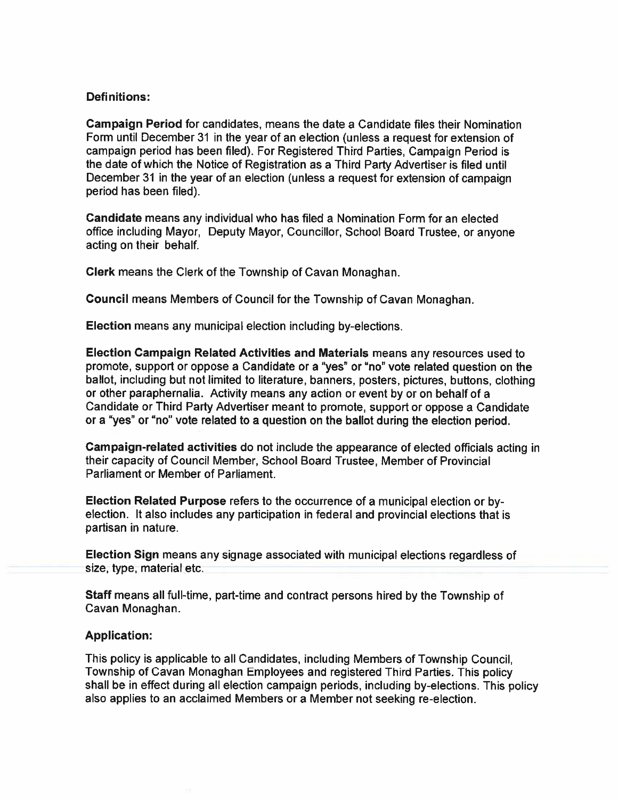#### Definitions:

Campaign Period for candidates, means the date <sup>a</sup> Candidate files their Nomination Form until December31 in the year of an election (unless <sup>a</sup> reques<sup>t</sup> for extension of campaign period has been filed). For Registered Third Parties, Campaign Period is the date of which the Notice of Registration as <sup>a</sup> Third Party Advertiser is filed until December 31 in the year of an election (unless <sup>a</sup> reques<sup>t</sup> for extension of campaign period has been filed).

Candidate means any individual who has filed <sup>a</sup> Nomination Form for an elected office including Mayor, Deputy Mayor, Councillor, School Board Trustee, or anyone acting on their behalf.

Clerk means the Clerk of the Township of Cavan Monaghan.

Council means Members of Council for the Township of Cavan Monaghan.

Election means any municipal election including by-elections.

Election Campaign Related Activities and Materials means any resources used to promote, suppor<sup>t</sup> or oppose <sup>a</sup> Candidate or <sup>a</sup> 'yes" or "no" vote related question on the ballot, including but not limited to literature, banners, posters, <sup>p</sup>ictures, buttons, clothing or other paraphernalia. Activity means any action or event by or on behalf of <sup>a</sup> Candidate or Third Party Advertiser meant to promote, suppor<sup>t</sup> or oppose <sup>a</sup> Candidate or <sup>a</sup> "yes" or "no" vote related to <sup>a</sup> question on the ballot during the election period.

Campaign-related activities do not include the appearance of elected officials acting in their capacity of Council Member, School Board Trustee, Member of Provincial Parliament or Member of Parliament.

Election Related Purpose refers to the occurrence of <sup>a</sup> municipal election or byelection. It also includes any participation in federal and provincial elections that is partisan in nature.

Election Sign means any signage associated with municipal elections regardless of size, type, material etc.

Staff means all full-time, part-time and contract persons hired by the Township of Cavan Monaghan.

#### Application:

This policy is applicable to all Candidates, including Members of Township Council, Township of Cavan Monaghan Employees and registered Third Parties. This policy shall be in effect during all election campaign periods, including by-elections. This policy also applies to an acclaimed Members or <sup>a</sup> Member not seeking re-election.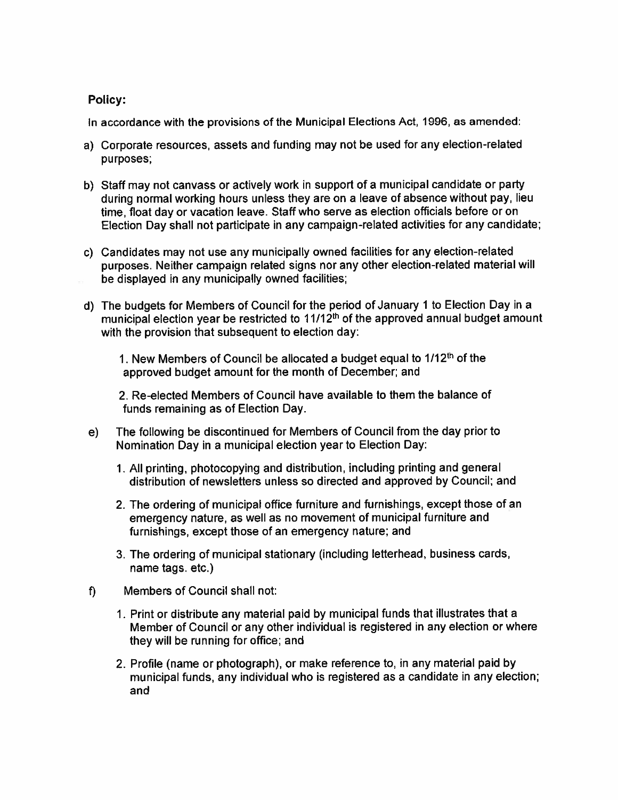# Policy:

In accordance with the provisions of the Municipal Elections Act, 1996, as amended

- a) Corporate resources, assets and funding may not be used for any election-related purposes;
- b) Staff may not canvass or actively work in suppor<sup>t</sup> of <sup>a</sup> municipal candidate or party during normal working hours unless they are on <sup>a</sup> leave of absence without pay, lieu time, float day or vacation leave. Staff who serve as election officials before or on Election Day shall not participate in any campaign-related activities for any candidate;
- c) Candidates may not use any municipally owned facilities for any election-related purposes. Neither campaign related signs nor any other election-related material will be displayed in any municipally owned facilities;
- d) The budgets for Members of Council for the period of January 1 to Election Day in a municipal election year be restricted to  $11/12<sup>th</sup>$  of the approved annual budget amount with the provision that subsequent to election day:

1. New Members of Council be allocated a budget equal to 1/12<sup>th</sup> of the approved budget amount for the month of December; and

2. Re-elected Members of Council have available to them the balance of funds remaining as of Election Day.

- e) The following be discontinued for Members of Council from the day prior to Nomination Day in <sup>a</sup> municipal election year to Election Day:
	- 1. All printing, <sup>p</sup>hotocopying and distribution, including printing and genera<sup>l</sup> distribution of newsletters unless so directed and approved by Council; and
	- 2. The ordering of municipal office furniture and furnishings, excep<sup>t</sup> those of an emergency nature, as well as no movement of municipal furniture and furnishings, excep<sup>t</sup> those of an emergency nature; and
	- 3. The ordering of municipal stationary (including letterhead, business cards, name tags. etc.)
- f) Members of Council shall not:
	- 1. Print or distribute any material paid by municipal funds that illustrates that <sup>a</sup> Member of Council or any other individual is registered in any election or where they will be running for office; and
	- 2. Profile (name or <sup>p</sup>hotograph), or make reference to, in any material paid by municipal funds, any individual who is registered as <sup>a</sup> candidate in any election; and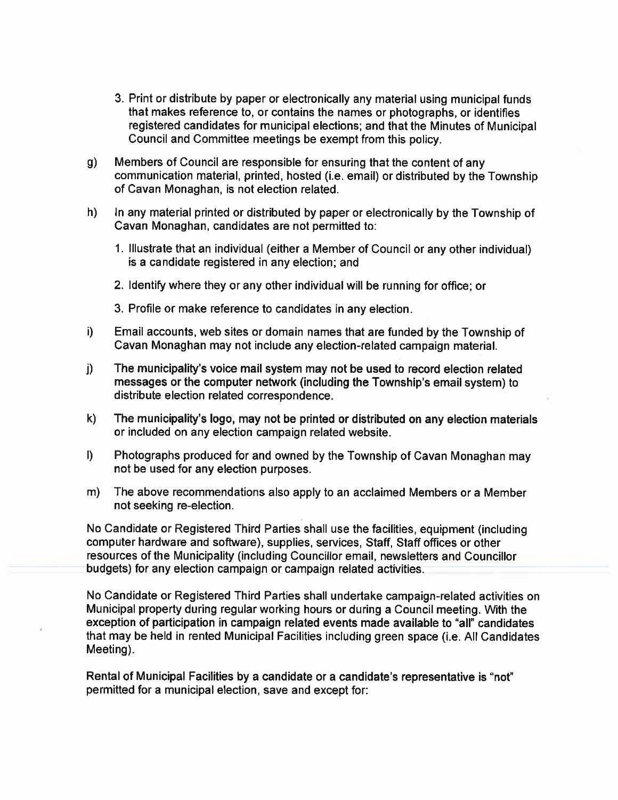- 3. Print or distribute by paper or electronically any material using municipal funds that makes reference to, or contains the names or photographs, or identifies registered candidates for municipal elections; and that the Minutes of Municipal Council and Committee meetings be exemp<sup>t</sup> from this policy.
- g) Members of Council are responsible for ensuring that the content of any communication material, printed, hosted (i.e. email) or distributed by the Township of Cavan Monaghan, is not election related.
- h) In any material printed or distributed by paper or electronically by the Township of Cavan Monaghan, candidates are not permitted to:
	- 1. Illustrate that an individual (either <sup>a</sup> Member of Council or any other individual) is <sup>a</sup> candidate registered in any election; and
	- 2. Identify where they or any other individual will be running for office; or
	- 3. Profile or make reference to candidates in any election.
- i) Email accounts, web sites or domain names that are funded by the Township of Cavan Monaghan may not include any election-related campaign material.
- j) The municipality's voice mail system may not be used to record election related messages or the computer network (including the Township's email system) to distribute election related correspondence.
- k) The municipality's logo, may not be printed or distributed on any election materials or included on any election campaign related website,
- I) Photographs produced for and owned by the Township of Cavan Monaghan may not be used for any election purposes.
- m) The above recommendations also apply to an acclaimed Members or <sup>a</sup> Member not seeking re-election.

No Candidate or Registered Third Parties shall use the facilities, equipment (including computer hardware and software), supplies, services, Staff, Staff offices or other resources of the Municipality (including Councillor email, newsletters and Councillor budgets) for any election campaign or campaign related activities.

No Candidate or Registered Third Parties shall undertake campaign-related activities on Municipal property during regular working hours or during <sup>a</sup> Council meeting. With the exception of participation in campaign related events made available to "all" candidates that may be held in rented Municipal Facilities including green space (i.e. All Candidates Meeting).

Rental of Municipal Facilities by <sup>a</sup> candidate or <sup>a</sup> candidate's representative is "not" permitted for <sup>a</sup> municipal election, save and excep<sup>t</sup> for: